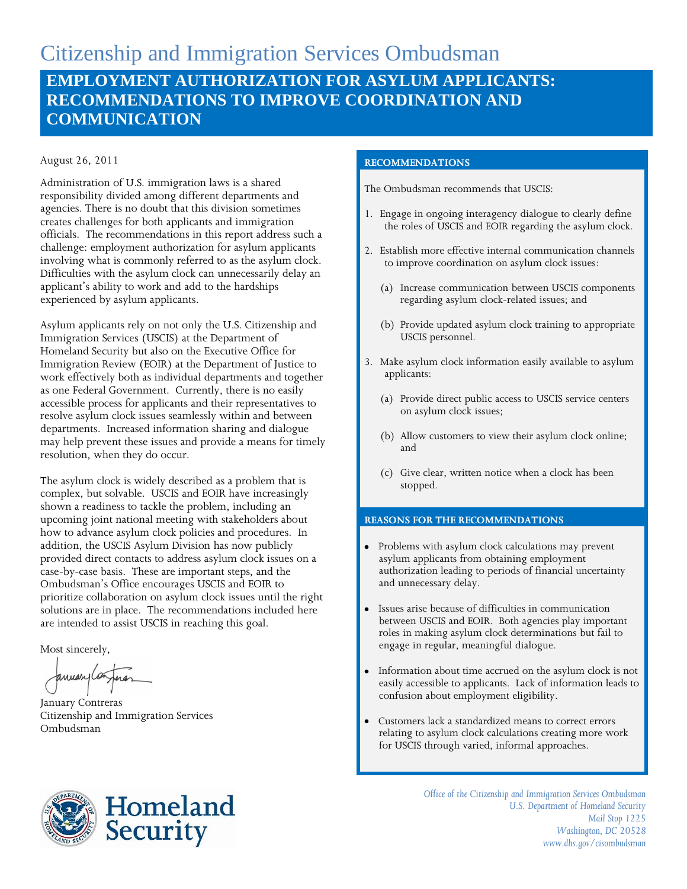# Citizenship and Immigration Services Ombudsman **EMPLOYMENT AUTHORIZATION FOR ASYLUM APPLICANTS: RECOMMENDATIONS TO IMPROVE COORDINATION AND COMMUNICATION**

#### August 26, 2011

Administration of U.S. immigration laws is a shared responsibility divided among different departments and agencies. There is no doubt that this division sometimes creates challenges for both applicants and immigration officials. The recommendations in this report address such a challenge: employment authorization for asylum applicants involving what is commonly referred to as the asylum clock. Difficulties with the asylum clock can unnecessarily delay an applicant's ability to work and add to the hardships experienced by asylum applicants.

Asylum applicants rely on not only the U.S. Citizenship and Immigration Services (USCIS) at the Department of Homeland Security but also on the Executive Office for Immigration Review (EOIR) at the Department of Justice to work effectively both as individual departments and together as one Federal Government. Currently, there is no easily accessible process for applicants and their representatives to resolve asylum clock issues seamlessly within and between departments. Increased information sharing and dialogue may help prevent these issues and provide a means for timely resolution, when they do occur.

The asylum clock is widely described as a problem that is complex, but solvable. USCIS and EOIR have increasingly shown a readiness to tackle the problem, including an upcoming joint national meeting with stakeholders about how to advance asylum clock policies and procedures. In addition, the USCIS Asylum Division has now publicly provided direct contacts to address asylum clock issues on a case-by-case basis. These are important steps, and the Ombudsman's Office encourages USCIS and EOIR to prioritize collaboration on asylum clock issues until the right solutions are in place. The recommendations included here are intended to assist USCIS in reaching this goal.

Most sincerely,

anuarica

January Contreras Citizenship and Immigration Services Ombudsman



#### **RECOMMENDATIONS**

The Ombudsman recommends that USCIS:

- 1. Engage in ongoing interagency dialogue to clearly define the roles of USCIS and EOIR regarding the asylum clock.
- 2. Establish more effective internal communication channels to improve coordination on asylum clock issues:
	- (a) Increase communication between USCIS components regarding asylum clock-related issues; and
	- (b) Provide updated asylum clock training to appropriate USCIS personnel.
- 3. Make asylum clock information easily available to asylum applicants:
	- (a) Provide direct public access to USCIS service centers on asylum clock issues;
	- (b) Allow customers to view their asylum clock online; and
	- (c) Give clear, written notice when a clock has been stopped.

#### **REASONS FOR THE RECOMMENDATIONS**

- Problems with asylum clock calculations may prevent asylum applicants from obtaining employment authorization leading to periods of financial uncertainty and unnecessary delay.
- Issues arise because of difficulties in communication between USCIS and EOIR. Both agencies play important roles in making asylum clock determinations but fail to engage in regular, meaningful dialogue.
- Information about time accrued on the asylum clock is not easily accessible to applicants. Lack of information leads to confusion about employment eligibility.
- Customers lack a standardized means to correct errors relating to asylum clock calculations creating more work for USCIS through varied, informal approaches.

*Office of the Citizenship and Immigration Services Ombudsman U.S. Department of Homeland Security Mail Stop 1225 Washington, DC 20528 www.dhs.gov/cisombudsman*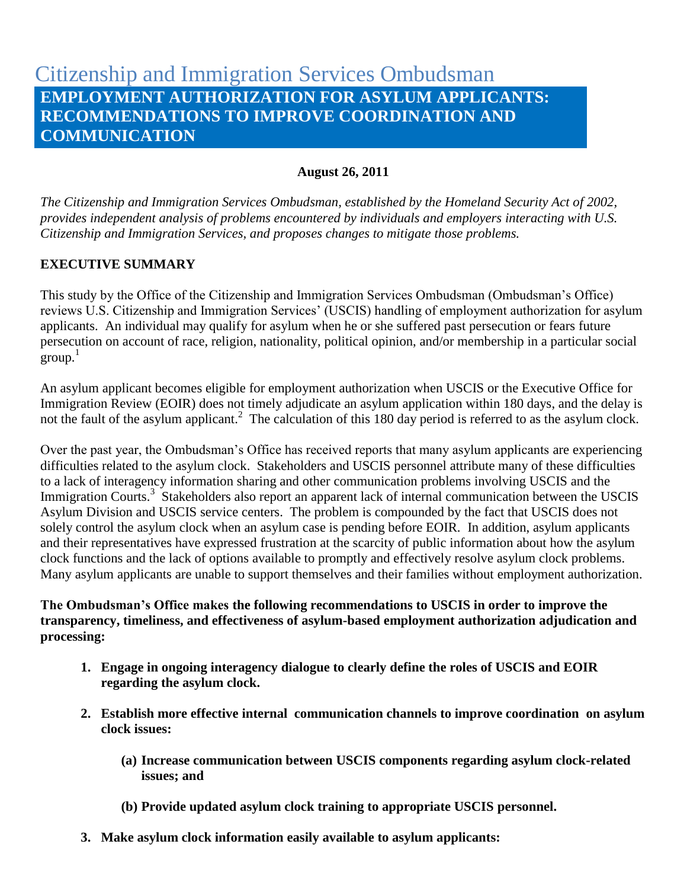# Citizenship and Immigration Services Ombudsman **EMPLOYMENT AUTHORIZATION FOR ASYLUM APPLICANTS: RECOMMENDATIONS TO IMPROVE COORDINATION AND COMMUNICATION**

### **August 26, 2011**

*The Citizenship and Immigration Services Ombudsman, established by the Homeland Security Act of 2002, provides independent analysis of problems encountered by individuals and employers interacting with U.S. Citizenship and Immigration Services, and proposes changes to mitigate those problems.* 

# **EXECUTIVE SUMMARY**

This study by the Office of the Citizenship and Immigration Services Ombudsman (Ombudsman's Office) reviews U.S. Citizenship and Immigration Services' (USCIS) handling of employment authorization for asylum applicants. An individual may qualify for asylum when he or she suffered past persecution or fears future persecution on account of race, religion, nationality, political opinion, and/or membership in a particular social -<br>group.<sup>1</sup>

An asylum applicant becomes eligible for employment authorization when USCIS or the Executive Office for Immigration Review (EOIR) does not timely adjudicate an asylum application within 180 days, and the delay is not the fault of the asylum applicant.<sup>2</sup> The calculation of this 180 day period is referred to as the asylum clock.

Over the past year, the Ombudsman's Office has received reports that many asylum applicants are experiencing difficulties related to the asylum clock. Stakeholders and USCIS personnel attribute many of these difficulties to a lack of interagency information sharing and other communication problems involving USCIS and the Immigration Courts.<sup>3</sup> Stakeholders also report an apparent lack of internal communication between the USCIS Asylum Division and USCIS service centers. The problem is compounded by the fact that USCIS does not solely control the asylum clock when an asylum case is pending before EOIR. In addition, asylum applicants and their representatives have expressed frustration at the scarcity of public information about how the asylum clock functions and the lack of options available to promptly and effectively resolve asylum clock problems. Many asylum applicants are unable to support themselves and their families without employment authorization.

# **The Ombudsman's Office makes the following recommendations to USCIS in order to improve the transparency, timeliness, and effectiveness of asylum-based employment authorization adjudication and processing:**

- **1. Engage in ongoing interagency dialogue to clearly define the roles of USCIS and EOIR regarding the asylum clock.**
- **2. Establish more effective internal communication channels to improve coordination on asylum clock issues:**
	- **(a) Increase communication between USCIS components regarding asylum clock-related issues; and**
	- **(b) Provide updated asylum clock training to appropriate USCIS personnel.**
- **3. Make asylum clock information easily available to asylum applicants:**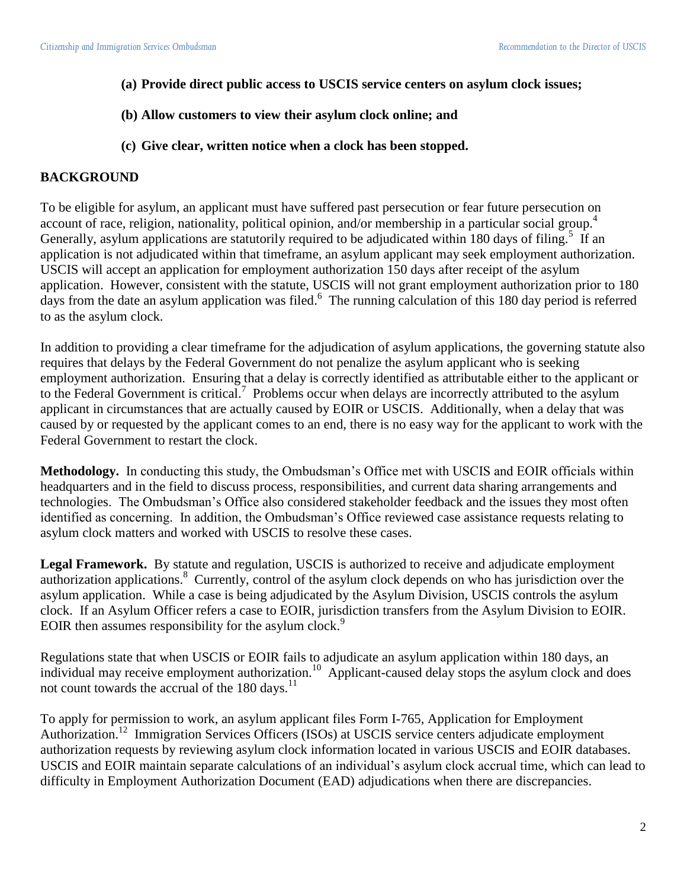- **(a) Provide direct public access to USCIS service centers on asylum clock issues;**
- **(b) Allow customers to view their asylum clock online; and**
- **(c) Give clear, written notice when a clock has been stopped.**

# **BACKGROUND**

To be eligible for asylum, an applicant must have suffered past persecution or fear future persecution on account of race, religion, nationality, political opinion, and/or membership in a particular social group.<sup>4</sup> Generally, asylum applications are statutorily required to be adjudicated within 180 days of filing.<sup>5</sup> If an application is not adjudicated within that timeframe, an asylum applicant may seek employment authorization. USCIS will accept an application for employment authorization 150 days after receipt of the asylum application. However, consistent with the statute, USCIS will not grant employment authorization prior to 180 days from the date an asylum application was filed. 6 The running calculation of this 180 day period is referred to as the asylum clock.

In addition to providing a clear timeframe for the adjudication of asylum applications, the governing statute also requires that delays by the Federal Government do not penalize the asylum applicant who is seeking employment authorization. Ensuring that a delay is correctly identified as attributable either to the applicant or to the Federal Government is critical.<sup>7</sup> Problems occur when delays are incorrectly attributed to the asylum applicant in circumstances that are actually caused by EOIR or USCIS. Additionally, when a delay that was caused by or requested by the applicant comes to an end, there is no easy way for the applicant to work with the Federal Government to restart the clock.

**Methodology.** In conducting this study, the Ombudsman's Office met with USCIS and EOIR officials within headquarters and in the field to discuss process, responsibilities, and current data sharing arrangements and technologies. The Ombudsman's Office also considered stakeholder feedback and the issues they most often identified as concerning. In addition, the Ombudsman's Office reviewed case assistance requests relating to asylum clock matters and worked with USCIS to resolve these cases.

**Legal Framework.** By statute and regulation, USCIS is authorized to receive and adjudicate employment authorization applications.<sup>8</sup> Currently, control of the asylum clock depends on who has jurisdiction over the asylum application. While a case is being adjudicated by the Asylum Division, USCIS controls the asylum clock. If an Asylum Officer refers a case to EOIR, jurisdiction transfers from the Asylum Division to EOIR. EOIR then assumes responsibility for the asylum clock.<sup>9</sup>

Regulations state that when USCIS or EOIR fails to adjudicate an asylum application within 180 days, an individual may receive employment authorization.<sup>10</sup> Applicant-caused delay stops the asylum clock and does not count towards the accrual of the  $180 \text{ days}$ .<sup>11</sup>

To apply for permission to work, an asylum applicant files Form I-765, Application for Employment Authorization.<sup>12</sup> Immigration Services Officers (ISOs) at USCIS service centers adjudicate employment authorization requests by reviewing asylum clock information located in various USCIS and EOIR databases. USCIS and EOIR maintain separate calculations of an individual's asylum clock accrual time, which can lead to difficulty in Employment Authorization Document (EAD) adjudications when there are discrepancies.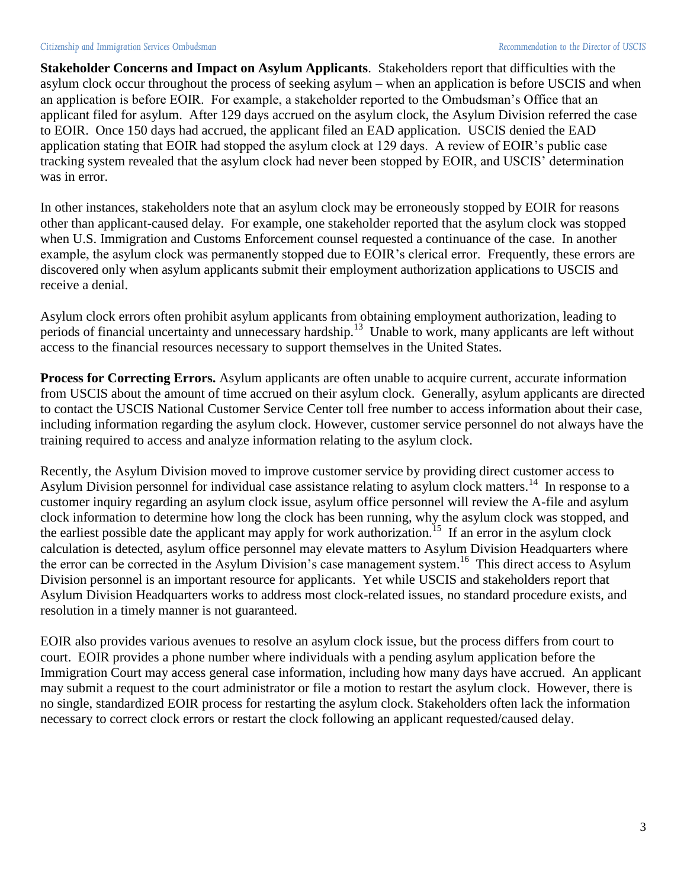**Stakeholder Concerns and Impact on Asylum Applicants**. Stakeholders report that difficulties with the asylum clock occur throughout the process of seeking asylum – when an application is before USCIS and when an application is before EOIR. For example, a stakeholder reported to the Ombudsman's Office that an applicant filed for asylum. After 129 days accrued on the asylum clock, the Asylum Division referred the case to EOIR. Once 150 days had accrued, the applicant filed an EAD application. USCIS denied the EAD application stating that EOIR had stopped the asylum clock at 129 days. A review of EOIR's public case tracking system revealed that the asylum clock had never been stopped by EOIR, and USCIS' determination was in error.

In other instances, stakeholders note that an asylum clock may be erroneously stopped by EOIR for reasons other than applicant-caused delay. For example, one stakeholder reported that the asylum clock was stopped when U.S. Immigration and Customs Enforcement counsel requested a continuance of the case. In another example, the asylum clock was permanently stopped due to EOIR's clerical error. Frequently, these errors are discovered only when asylum applicants submit their employment authorization applications to USCIS and receive a denial.

Asylum clock errors often prohibit asylum applicants from obtaining employment authorization, leading to periods of financial uncertainty and unnecessary hardship.<sup>13</sup> Unable to work, many applicants are left without access to the financial resources necessary to support themselves in the United States.

**Process for Correcting Errors.** Asylum applicants are often unable to acquire current, accurate information from USCIS about the amount of time accrued on their asylum clock. Generally, asylum applicants are directed to contact the USCIS National Customer Service Center toll free number to access information about their case, including information regarding the asylum clock. However, customer service personnel do not always have the training required to access and analyze information relating to the asylum clock.

Recently, the Asylum Division moved to improve customer service by providing direct customer access to Asylum Division personnel for individual case assistance relating to asylum clock matters.<sup>14</sup> In response to a customer inquiry regarding an asylum clock issue, asylum office personnel will review the A-file and asylum clock information to determine how long the clock has been running, why the asylum clock was stopped, and the earliest possible date the applicant may apply for work authorization.<sup>15</sup> If an error in the asylum clock calculation is detected, asylum office personnel may elevate matters to Asylum Division Headquarters where the error can be corrected in the Asylum Division's case management system.<sup>16</sup> This direct access to Asylum Division personnel is an important resource for applicants. Yet while USCIS and stakeholders report that Asylum Division Headquarters works to address most clock-related issues, no standard procedure exists, and resolution in a timely manner is not guaranteed.

EOIR also provides various avenues to resolve an asylum clock issue, but the process differs from court to court. EOIR provides a phone number where individuals with a pending asylum application before the Immigration Court may access general case information, including how many days have accrued. An applicant may submit a request to the court administrator or file a motion to restart the asylum clock. However, there is no single, standardized EOIR process for restarting the asylum clock. Stakeholders often lack the information necessary to correct clock errors or restart the clock following an applicant requested/caused delay.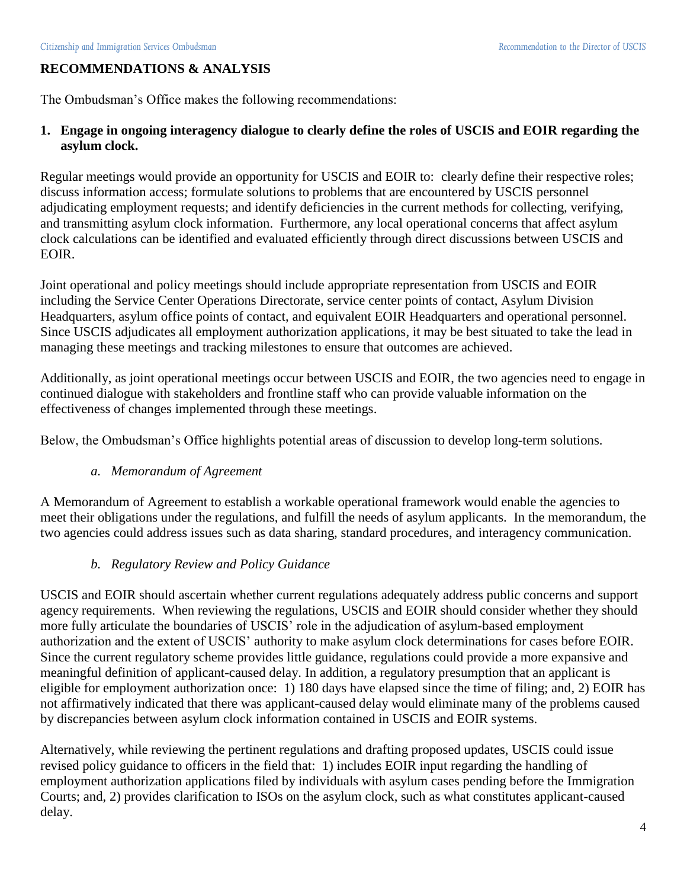# **RECOMMENDATIONS & ANALYSIS**

The Ombudsman's Office makes the following recommendations:

# **1. Engage in ongoing interagency dialogue to clearly define the roles of USCIS and EOIR regarding the asylum clock.**

Regular meetings would provide an opportunity for USCIS and EOIR to: clearly define their respective roles; discuss information access; formulate solutions to problems that are encountered by USCIS personnel adjudicating employment requests; and identify deficiencies in the current methods for collecting, verifying, and transmitting asylum clock information. Furthermore, any local operational concerns that affect asylum clock calculations can be identified and evaluated efficiently through direct discussions between USCIS and EOIR.

Joint operational and policy meetings should include appropriate representation from USCIS and EOIR including the Service Center Operations Directorate, service center points of contact, Asylum Division Headquarters, asylum office points of contact, and equivalent EOIR Headquarters and operational personnel. Since USCIS adjudicates all employment authorization applications, it may be best situated to take the lead in managing these meetings and tracking milestones to ensure that outcomes are achieved.

Additionally, as joint operational meetings occur between USCIS and EOIR, the two agencies need to engage in continued dialogue with stakeholders and frontline staff who can provide valuable information on the effectiveness of changes implemented through these meetings.

Below, the Ombudsman's Office highlights potential areas of discussion to develop long-term solutions.

#### *a. Memorandum of Agreement*

A Memorandum of Agreement to establish a workable operational framework would enable the agencies to meet their obligations under the regulations, and fulfill the needs of asylum applicants. In the memorandum, the two agencies could address issues such as data sharing, standard procedures, and interagency communication.

# *b. Regulatory Review and Policy Guidance*

USCIS and EOIR should ascertain whether current regulations adequately address public concerns and support agency requirements. When reviewing the regulations, USCIS and EOIR should consider whether they should more fully articulate the boundaries of USCIS' role in the adjudication of asylum-based employment authorization and the extent of USCIS' authority to make asylum clock determinations for cases before EOIR. Since the current regulatory scheme provides little guidance, regulations could provide a more expansive and meaningful definition of applicant-caused delay. In addition, a regulatory presumption that an applicant is eligible for employment authorization once: 1) 180 days have elapsed since the time of filing; and, 2) EOIR has not affirmatively indicated that there was applicant-caused delay would eliminate many of the problems caused by discrepancies between asylum clock information contained in USCIS and EOIR systems.

Alternatively, while reviewing the pertinent regulations and drafting proposed updates, USCIS could issue revised policy guidance to officers in the field that: 1) includes EOIR input regarding the handling of employment authorization applications filed by individuals with asylum cases pending before the Immigration Courts; and, 2) provides clarification to ISOs on the asylum clock, such as what constitutes applicant-caused delay.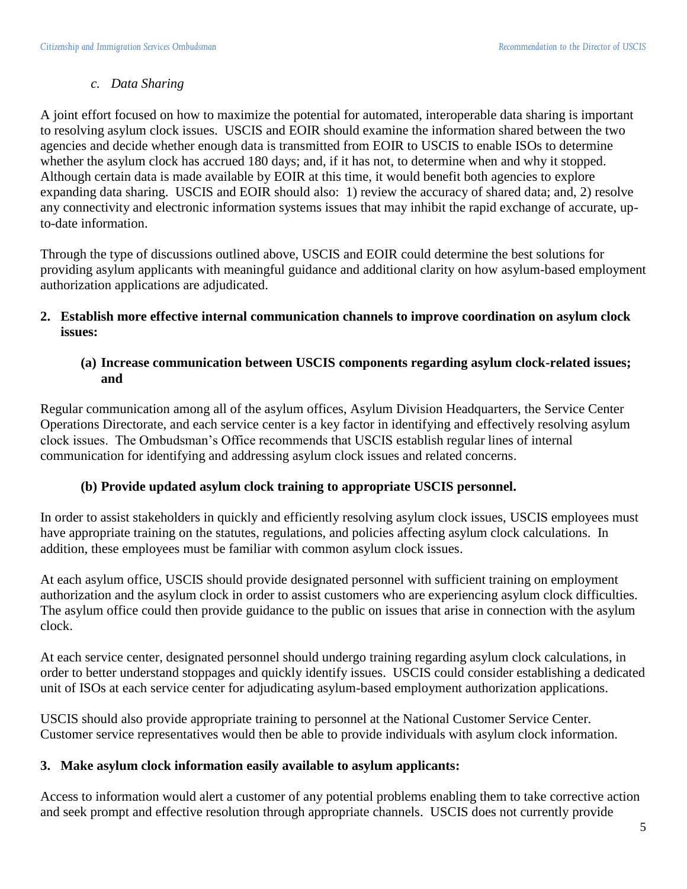#### *c. Data Sharing*

A joint effort focused on how to maximize the potential for automated, interoperable data sharing is important to resolving asylum clock issues. USCIS and EOIR should examine the information shared between the two agencies and decide whether enough data is transmitted from EOIR to USCIS to enable ISOs to determine whether the asylum clock has accrued 180 days; and, if it has not, to determine when and why it stopped. Although certain data is made available by EOIR at this time, it would benefit both agencies to explore expanding data sharing. USCIS and EOIR should also: 1) review the accuracy of shared data; and, 2) resolve any connectivity and electronic information systems issues that may inhibit the rapid exchange of accurate, upto-date information.

Through the type of discussions outlined above, USCIS and EOIR could determine the best solutions for providing asylum applicants with meaningful guidance and additional clarity on how asylum-based employment authorization applications are adjudicated.

#### **2. Establish more effective internal communication channels to improve coordination on asylum clock issues:**

# **(a) Increase communication between USCIS components regarding asylum clock-related issues; and**

Regular communication among all of the asylum offices, Asylum Division Headquarters, the Service Center Operations Directorate, and each service center is a key factor in identifying and effectively resolving asylum clock issues. The Ombudsman's Office recommends that USCIS establish regular lines of internal communication for identifying and addressing asylum clock issues and related concerns.

# **(b) Provide updated asylum clock training to appropriate USCIS personnel.**

In order to assist stakeholders in quickly and efficiently resolving asylum clock issues, USCIS employees must have appropriate training on the statutes, regulations, and policies affecting asylum clock calculations. In addition, these employees must be familiar with common asylum clock issues.

At each asylum office, USCIS should provide designated personnel with sufficient training on employment authorization and the asylum clock in order to assist customers who are experiencing asylum clock difficulties. The asylum office could then provide guidance to the public on issues that arise in connection with the asylum clock.

At each service center, designated personnel should undergo training regarding asylum clock calculations, in order to better understand stoppages and quickly identify issues. USCIS could consider establishing a dedicated unit of ISOs at each service center for adjudicating asylum-based employment authorization applications.

USCIS should also provide appropriate training to personnel at the National Customer Service Center. Customer service representatives would then be able to provide individuals with asylum clock information.

# **3. Make asylum clock information easily available to asylum applicants:**

Access to information would alert a customer of any potential problems enabling them to take corrective action and seek prompt and effective resolution through appropriate channels. USCIS does not currently provide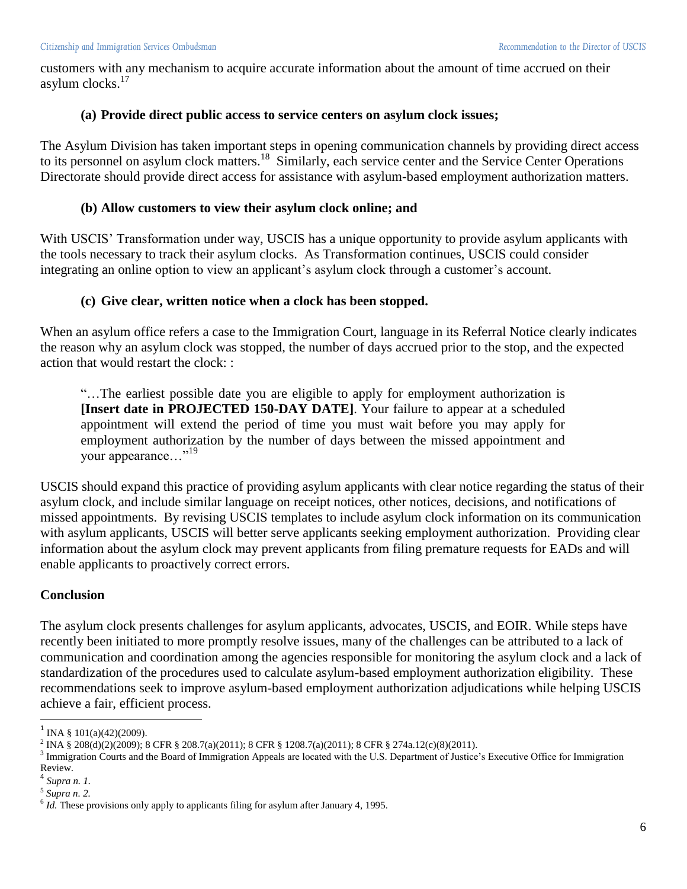customers with any mechanism to acquire accurate information about the amount of time accrued on their asylum clocks. $17$ 

#### **(a) Provide direct public access to service centers on asylum clock issues;**

The Asylum Division has taken important steps in opening communication channels by providing direct access to its personnel on asylum clock matters.<sup>18</sup> Similarly, each service center and the Service Center Operations Directorate should provide direct access for assistance with asylum-based employment authorization matters.

#### **(b) Allow customers to view their asylum clock online; and**

With USCIS' Transformation under way, USCIS has a unique opportunity to provide asylum applicants with the tools necessary to track their asylum clocks. As Transformation continues, USCIS could consider integrating an online option to view an applicant's asylum clock through a customer's account.

#### **(c) Give clear, written notice when a clock has been stopped.**

When an asylum office refers a case to the Immigration Court, language in its Referral Notice clearly indicates the reason why an asylum clock was stopped, the number of days accrued prior to the stop, and the expected action that would restart the clock: :

"…The earliest possible date you are eligible to apply for employment authorization is **[Insert date in PROJECTED 150-DAY DATE]**. Your failure to appear at a scheduled appointment will extend the period of time you must wait before you may apply for employment authorization by the number of days between the missed appointment and your appearance…"<sup>19</sup>

USCIS should expand this practice of providing asylum applicants with clear notice regarding the status of their asylum clock, and include similar language on receipt notices, other notices, decisions, and notifications of missed appointments. By revising USCIS templates to include asylum clock information on its communication with asylum applicants, USCIS will better serve applicants seeking employment authorization. Providing clear information about the asylum clock may prevent applicants from filing premature requests for EADs and will enable applicants to proactively correct errors.

#### **Conclusion**

The asylum clock presents challenges for asylum applicants, advocates, USCIS, and EOIR. While steps have recently been initiated to more promptly resolve issues, many of the challenges can be attributed to a lack of communication and coordination among the agencies responsible for monitoring the asylum clock and a lack of standardization of the procedures used to calculate asylum-based employment authorization eligibility. These recommendations seek to improve asylum-based employment authorization adjudications while helping USCIS achieve a fair, efficient process.

l

 $1$  INA § 101(a)(42)(2009).

<sup>2</sup> INA § 208(d)(2)(2009); 8 CFR § 208.7(a)(2011); 8 CFR § 1208.7(a)(2011); 8 CFR § 274a.12(c)(8)(2011).

<sup>&</sup>lt;sup>3</sup> Immigration Courts and the Board of Immigration Appeals are located with the U.S. Department of Justice's Executive Office for Immigration Review.

<sup>4</sup> *Supra n. 1.*

<sup>5</sup> *Supra n. 2.*

 $<sup>6</sup>$  *Id.* These provisions only apply to applicants filing for asylum after January 4, 1995.</sup>